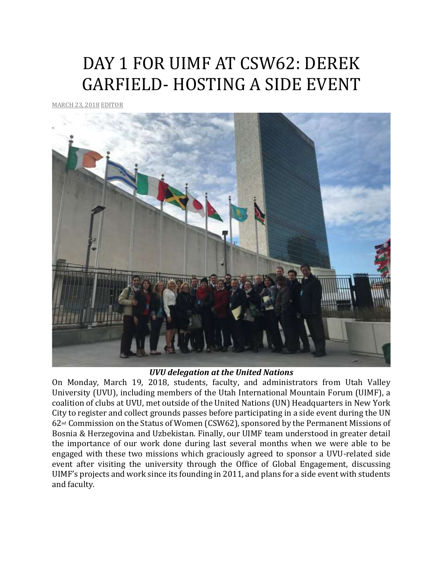## DAY 1 FOR UIMF AT CSW62: DEREK GARFIELD- HOSTING A SIDE EVENT

[MARCH](http://utahimf.org/archives/3481) 23, 2018 [EDITOR](http://utahimf.org/archives/author/editor)



## *UVU delegation at the United Nations*

On Monday, March 19, 2018, students, faculty, and administrators from Utah Valley University (UVU), including members of the Utah International Mountain Forum (UIMF), a coalition of clubs at UVU, met outside of the United Nations (UN) Headquarters in New York City to register and collect grounds passes before participating in a side event during the UN 62nd Commission on the Status of Women (CSW62), sponsored by the Permanent Missions of Bosnia & Herzegovina and Uzbekistan. Finally, our UIMF team understood in greater detail the importance of our work done during last several months when we were able to be engaged with these two missions which graciously agreed to sponsor a UVU-related side event after visiting the university through the Office of Global Engagement, discussing UIMF's projects and work since its founding in 2011, and plans for a side event with students and faculty.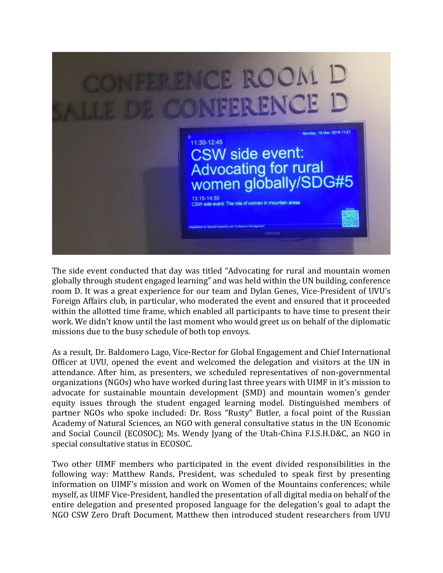

The side event conducted that day was titled "Advocating for rural and mountain women globally through student engaged learning" and was held within the UN building, conference room D. It was a great experience for our team and Dylan Genes, Vice-President of UVU's Foreign Affairs club, in particular, who moderated the event and ensured that it proceeded within the allotted time frame, which enabled all participants to have time to present their work. We didn't know until the last moment who would greet us on behalf of the diplomatic missions due to the busy schedule of both top envoys.

As a result, Dr. Baldomero Lago, Vice-Rector for Global Engagement and Chief International Officer at UVU, opened the event and welcomed the delegation and visitors at the UN in attendance. After him, as presenters, we scheduled representatives of non-governmental organizations (NGOs) who have worked during last three years with UIMF in it's mission to advocate for sustainable mountain development (SMD) and mountain women's gender equity issues through the student engaged learning model. Distinguished members of partner NGOs who spoke included: Dr. Ross "Rusty" Butler, a focal point of the Russian Academy of Natural Sciences, an NGO with general consultative status in the UN Economic and Social Council (ECOSOC); Ms. Wendy Jyang of the Utah-China F.I.S.H.D&C, an NGO in special consultative status in ECOSOC.

Two other UIMF members who participated in the event divided responsibilities in the following way: Matthew Rands, President, was scheduled to speak first by presenting information on UIMF's mission and work on Women of the Mountains conferences; while myself, as UIMF Vice-President, handled the presentation of all digital media on behalf of the entire delegation and presented proposed language for the delegation's goal to adapt the NGO CSW Zero Draft Document. Matthew then introduced student researchers from UVU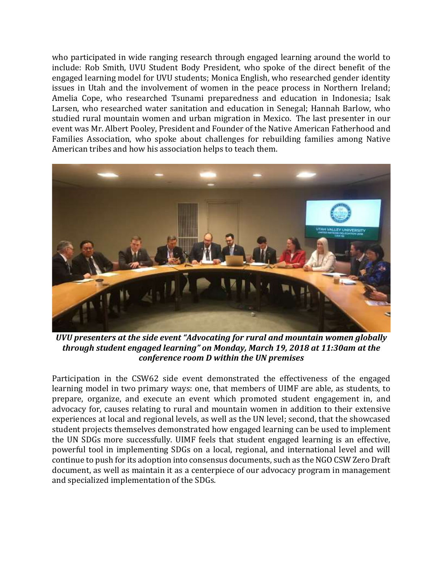who participated in wide ranging research through engaged learning around the world to include: Rob Smith, UVU Student Body President, who spoke of the direct benefit of the engaged learning model for UVU students; Monica English, who researched gender identity issues in Utah and the involvement of women in the peace process in Northern Ireland; Amelia Cope, who researched Tsunami preparedness and education in Indonesia; Isak Larsen, who researched water sanitation and education in Senegal; Hannah Barlow, who studied rural mountain women and urban migration in Mexico. The last presenter in our event was Mr. Albert Pooley, President and Founder of the Native American Fatherhood and Families Association, who spoke about challenges for rebuilding families among Native American tribes and how his association helps to teach them.



*UVU presenters at the side event "Advocating for rural and mountain women globally through student engaged learning" on Monday, March 19, 2018 at 11:30am at the conference room D within the UN premises*

Participation in the CSW62 side event demonstrated the effectiveness of the engaged learning model in two primary ways: one, that members of UIMF are able, as students, to prepare, organize, and execute an event which promoted student engagement in, and advocacy for, causes relating to rural and mountain women in addition to their extensive experiences at local and regional levels, as well as the UN level; second, that the showcased student projects themselves demonstrated how engaged learning can be used to implement the UN SDGs more successfully. UIMF feels that student engaged learning is an effective, powerful tool in implementing SDGs on a local, regional, and international level and will continue to push for its adoption into consensus documents, such as the NGO CSW Zero Draft document, as well as maintain it as a centerpiece of our advocacy program in management and specialized implementation of the SDGs.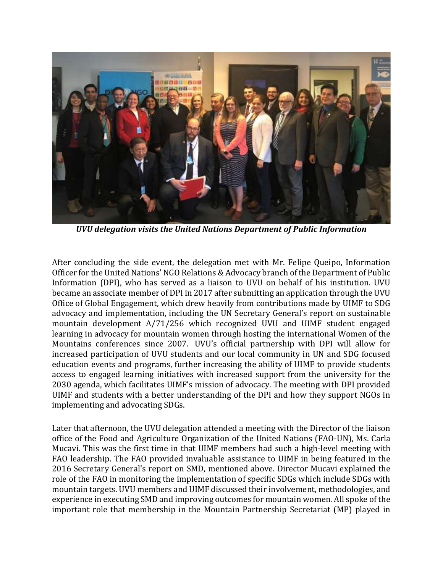

*UVU delegation visits the United Nations Department of Public Information*

After concluding the side event, the delegation met with Mr. Felipe Queipo, Information Officer for the United Nations' NGO Relations & Advocacy branch of the Department of Public Information (DPI), who has served as a liaison to UVU on behalf of his institution. UVU became an associate member of DPI in 2017 after submitting an application through the UVU Office of Global Engagement, which drew heavily from contributions made by UIMF to SDG advocacy and implementation, including the UN Secretary General's report on sustainable mountain development A/71/256 which recognized UVU and UIMF student engaged learning in advocacy for mountain women through hosting the international Women of the Mountains conferences since 2007. UVU's official partnership with DPI will allow for increased participation of UVU students and our local community in UN and SDG focused education events and programs, further increasing the ability of UIMF to provide students access to engaged learning initiatives with increased support from the university for the 2030 agenda, which facilitates UIMF's mission of advocacy. The meeting with DPI provided UIMF and students with a better understanding of the DPI and how they support NGOs in implementing and advocating SDGs.

Later that afternoon, the UVU delegation attended a meeting with the Director of the liaison office of the Food and Agriculture Organization of the United Nations (FAO-UN), Ms. Carla Mucavi. This was the first time in that UIMF members had such a high-level meeting with FAO leadership. The FAO provided invaluable assistance to UIMF in being featured in the 2016 Secretary General's report on SMD, mentioned above. Director Mucavi explained the role of the FAO in monitoring the implementation of specific SDGs which include SDGs with mountain targets. UVU members and UIMF discussed their involvement, methodologies, and experience in executing SMD and improving outcomes for mountain women. All spoke of the important role that membership in the Mountain Partnership Secretariat (MP) played in